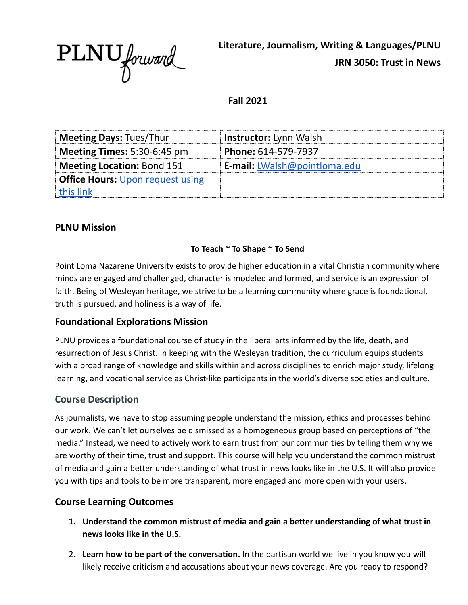PLNU forward

**Literature, Journalism, Writing & Languages/PLNU JRN 3050: Trust in News**

**Fall 2021**

| <b>Meeting Days: Tues/Thur</b>          | <b>Instructor:</b> Lynn Walsh       |
|-----------------------------------------|-------------------------------------|
| <b>Meeting Times:</b> $5:30-6:45$ pm    | Phone: 614-579-7937                 |
| Meeting Location: Bond 151              | <b>E-mail:</b> LWalsh@pointloma.edu |
| <b>Office Hours: Upon request using</b> |                                     |
| this link                               |                                     |

#### **PLNU Mission**

#### **To Teach ~ To Shape ~ To Send**

Point Loma Nazarene University exists to provide higher education in a vital Christian community where minds are engaged and challenged, character is modeled and formed, and service is an expression of faith. Being of Wesleyan heritage, we strive to be a learning community where grace is foundational, truth is pursued, and holiness is a way of life.

#### **Foundational Explorations Mission**

PLNU provides a foundational course of study in the liberal arts informed by the life, death, and resurrection of Jesus Christ. In keeping with the Wesleyan tradition, the curriculum equips students with a broad range of knowledge and skills within and across disciplines to enrich major study, lifelong learning, and vocational service as Christ-like participants in the world's diverse societies and culture.

#### **Course Description**

As journalists, we have to stop assuming people understand the mission, ethics and processes behind our work. We can't let ourselves be dismissed as a homogeneous group based on perceptions of "the media." Instead, we need to actively work to earn trust from our communities by telling them why we are worthy of their time, trust and support. This course will help you understand the common mistrust of media and gain a better understanding of what trust in news looks like in the U.S. It will also provide you with tips and tools to be more transparent, more engaged and more open with your users.

#### **Course Learning Outcomes**

- **1. Understand the common mistrust of media and gain a better understanding of what trust in news looks like in the U.S.**
- 2. **Learn how to be part of the conversation.** In the partisan world we live in you know you will likely receive criticism and accusations about your news coverage. Are you ready to respond?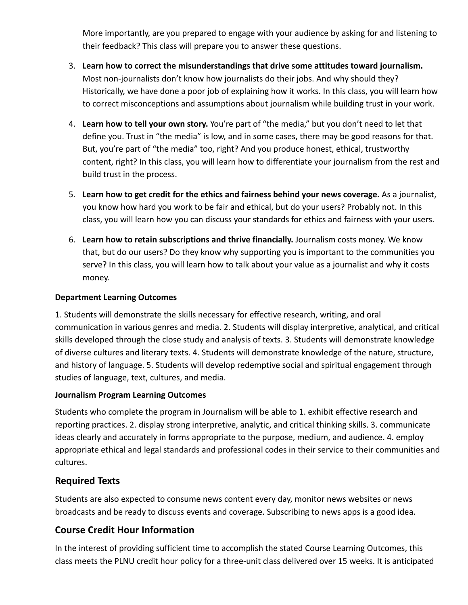More importantly, are you prepared to engage with your audience by asking for and listening to their feedback? This class will prepare you to answer these questions.

- 3. **Learn how to correct the misunderstandings that drive some attitudes toward journalism.** Most non-journalists don't know how journalists do their jobs. And why should they? Historically, we have done a poor job of explaining how it works. In this class, you will learn how to correct misconceptions and assumptions about journalism while building trust in your work.
- 4. **Learn how to tell your own story.** You're part of "the media," but you don't need to let that define you. Trust in "the media" is low, and in some cases, there may be good reasons for that. But, you're part of "the media" too, right? And you produce honest, ethical, trustworthy content, right? In this class, you will learn how to differentiate your journalism from the rest and build trust in the process.
- 5. **Learn how to get credit for the ethics and fairness behind your news coverage.** As a journalist, you know how hard you work to be fair and ethical, but do your users? Probably not. In this class, you will learn how you can discuss your standards for ethics and fairness with your users.
- 6. **Learn how to retain subscriptions and thrive financially.** Journalism costs money. We know that, but do our users? Do they know why supporting you is important to the communities you serve? In this class, you will learn how to talk about your value as a journalist and why it costs money.

#### **Department Learning Outcomes**

1. Students will demonstrate the skills necessary for effective research, writing, and oral communication in various genres and media. 2. Students will display interpretive, analytical, and critical skills developed through the close study and analysis of texts. 3. Students will demonstrate knowledge of diverse cultures and literary texts. 4. Students will demonstrate knowledge of the nature, structure, and history of language. 5. Students will develop redemptive social and spiritual engagement through studies of language, text, cultures, and media.

#### **Journalism Program Learning Outcomes**

Students who complete the program in Journalism will be able to 1. exhibit effective research and reporting practices. 2. display strong interpretive, analytic, and critical thinking skills. 3. communicate ideas clearly and accurately in forms appropriate to the purpose, medium, and audience. 4. employ appropriate ethical and legal standards and professional codes in their service to their communities and cultures.

## **Required Texts**

Students are also expected to consume news content every day, monitor news websites or news broadcasts and be ready to discuss events and coverage. Subscribing to news apps is a good idea.

## **Course Credit Hour Information**

In the interest of providing sufficient time to accomplish the stated Course Learning Outcomes, this class meets the PLNU credit hour policy for a three-unit class delivered over 15 weeks. It is anticipated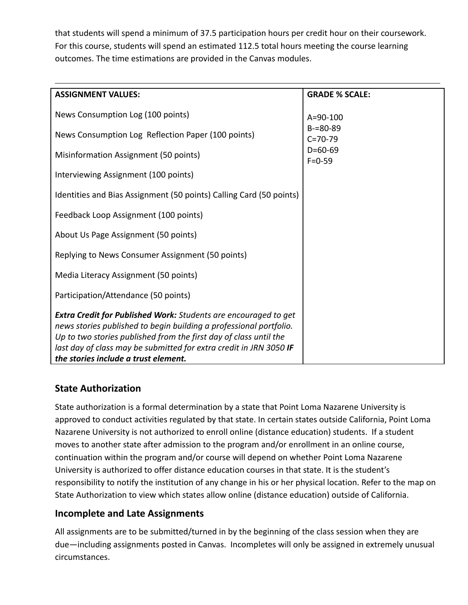that students will spend a minimum of 37.5 participation hours per credit hour on their coursework. For this course, students will spend an estimated 112.5 total hours meeting the course learning outcomes. The time estimations are provided in the Canvas modules.

| <b>ASSIGNMENT VALUES:</b>                                                                                                                                                                                                                                                                                                       | <b>GRADE % SCALE:</b>          |
|---------------------------------------------------------------------------------------------------------------------------------------------------------------------------------------------------------------------------------------------------------------------------------------------------------------------------------|--------------------------------|
| News Consumption Log (100 points)                                                                                                                                                                                                                                                                                               | $A = 90 - 100$                 |
| News Consumption Log Reflection Paper (100 points)                                                                                                                                                                                                                                                                              | $B = 80 - 89$<br>$C = 70 - 79$ |
| Misinformation Assignment (50 points)                                                                                                                                                                                                                                                                                           | $D=60-69$<br>$F = 0.59$        |
| Interviewing Assignment (100 points)                                                                                                                                                                                                                                                                                            |                                |
| Identities and Bias Assignment (50 points) Calling Card (50 points)                                                                                                                                                                                                                                                             |                                |
| Feedback Loop Assignment (100 points)                                                                                                                                                                                                                                                                                           |                                |
| About Us Page Assignment (50 points)                                                                                                                                                                                                                                                                                            |                                |
| Replying to News Consumer Assignment (50 points)                                                                                                                                                                                                                                                                                |                                |
| Media Literacy Assignment (50 points)                                                                                                                                                                                                                                                                                           |                                |
| Participation/Attendance (50 points)                                                                                                                                                                                                                                                                                            |                                |
| <b>Extra Credit for Published Work:</b> Students are encouraged to get<br>news stories published to begin building a professional portfolio.<br>Up to two stories published from the first day of class until the<br>last day of class may be submitted for extra credit in JRN 3050 IF<br>the stories include a trust element. |                                |

# **State Authorization**

State authorization is a formal determination by a state that Point Loma Nazarene University is approved to conduct activities regulated by that state. In certain states outside California, Point Loma Nazarene University is not authorized to enroll online (distance education) students. If a student moves to another state after admission to the program and/or enrollment in an online course, continuation within the program and/or course will depend on whether Point Loma Nazarene University is authorized to offer distance education courses in that state. It is the student's responsibility to notify the institution of any change in his or her physical location. Refer to the map on State Authorization to view which states allow online (distance education) outside of California.

## **Incomplete and Late Assignments**

All assignments are to be submitted/turned in by the beginning of the class session when they are due—including assignments posted in Canvas. Incompletes will only be assigned in extremely unusual circumstances.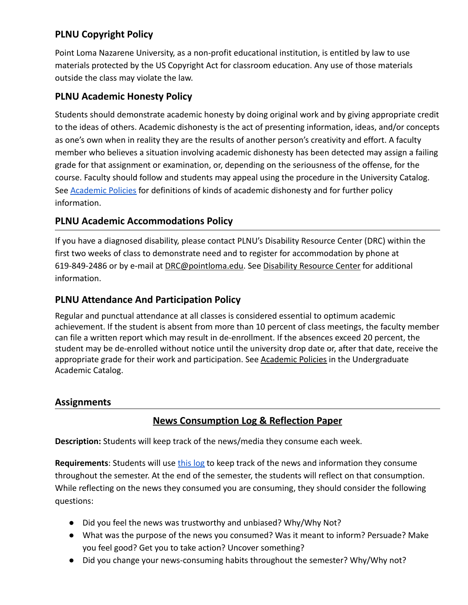# **PLNU Copyright Policy**

Point Loma Nazarene University, as a non-profit educational institution, is entitled by law to use materials protected by the US Copyright Act for classroom education. Any use of those materials outside the class may violate the law.

## **PLNU Academic Honesty Policy**

Students should demonstrate academic honesty by doing original work and by giving appropriate credit to the ideas of others. Academic dishonesty is the act of presenting information, ideas, and/or concepts as one's own when in reality they are the results of another person's creativity and effort. A faculty member who believes a situation involving academic dishonesty has been detected may assign a failing grade for that assignment or examination, or, depending on the seriousness of the offense, for the course. Faculty should follow and students may appeal using the procedure in the University Catalog. See [Academic Policies](https://catalog.pointloma.edu/content.php?catoid=41&navoid=2435) for definitions of kinds of academic dishonesty and for further policy information.

## **PLNU Academic Accommodations Policy**

If you have a diagnosed disability, please contact PLNU's Disability Resource Center (DRC) within the first two weeks of class to demonstrate need and to register for accommodation by phone at 619-849-2486 or by e-mail at [DRC@pointloma.edu.](mailto:DRC@pointloma.edu) See [Disability Resource Center](http://www.pointloma.edu/experience/offices/administrative-offices/academic-advising-office/disability-resource-center) for additional information.

## **PLNU Attendance And Participation Policy**

Regular and punctual attendance at all classes is considered essential to optimum academic achievement. If the student is absent from more than 10 percent of class meetings, the faculty member can file a written report which may result in de-enrollment. If the absences exceed 20 percent, the student may be de-enrolled without notice until the university drop date or, after that date, receive the appropriate grade for their work and participation. See [Academic Policies](http://catalog.pointloma.edu/content.php?catoid=18&navoid=1278) in the Undergraduate Academic Catalog.

#### **Assignments**

# **News Consumption Log & Reflection Paper**

**Description:** Students will keep track of the news/media they consume each week.

**Requirements**: Students will use [this log](https://docs.google.com/spreadsheets/d/1trv-u2xdkmNBalBVBSPOjO_M8aFbTFdw1dj5F9S8hiw/edit?usp=sharing) to keep track of the news and information they consume throughout the semester. At the end of the semester, the students will reflect on that consumption. While reflecting on the news they consumed you are consuming, they should consider the following questions:

- Did you feel the news was trustworthy and unbiased? Why/Why Not?
- What was the purpose of the news you consumed? Was it meant to inform? Persuade? Make you feel good? Get you to take action? Uncover something?
- Did you change your news-consuming habits throughout the semester? Why/Why not?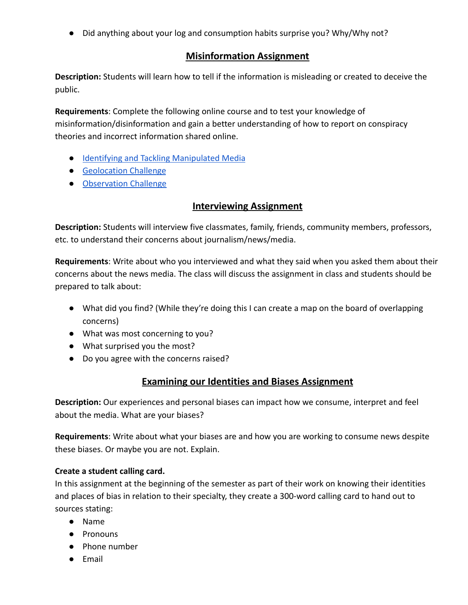● Did anything about your log and consumption habits surprise you? Why/Why not?

### **Misinformation Assignment**

**Description:** Students will learn how to tell if the information is misleading or created to deceive the public.

**Requirements**: Complete the following online course and to test your knowledge of misinformation/disinformation and gain a better understanding of how to report on conspiracy theories and incorrect information shared online.

- [Identifying and Tackling Manipulated Media](https://www.reuters.com/manipulatedmedia/en/)
- [Geolocation Challenge](https://firstdraftnews.org/en/education/curriculum-resource/test-your-verification-skills-with-our-geolocation-challenge/)
- [Observation Challenge](https://firstdraftnews.org/en/education/curriculum-resource/2-assessment-observation/)

## **Interviewing Assignment**

**Description:** Students will interview five classmates, family, friends, community members, professors, etc. to understand their concerns about journalism/news/media.

**Requirements**: Write about who you interviewed and what they said when you asked them about their concerns about the news media. The class will discuss the assignment in class and students should be prepared to talk about:

- What did you find? (While they're doing this I can create a map on the board of overlapping concerns)
- What was most concerning to you?
- What surprised you the most?
- Do you agree with the concerns raised?

## **Examining our Identities and Biases Assignment**

**Description:** Our experiences and personal biases can impact how we consume, interpret and feel about the media. What are your biases?

**Requirements**: Write about what your biases are and how you are working to consume news despite these biases. Or maybe you are not. Explain.

#### **Create a student calling card.**

In this assignment at the beginning of the semester as part of their work on knowing their identities and places of bias in relation to their specialty, they create a 300-word calling card to hand out to sources stating:

- Name
- Pronouns
- Phone number
- Email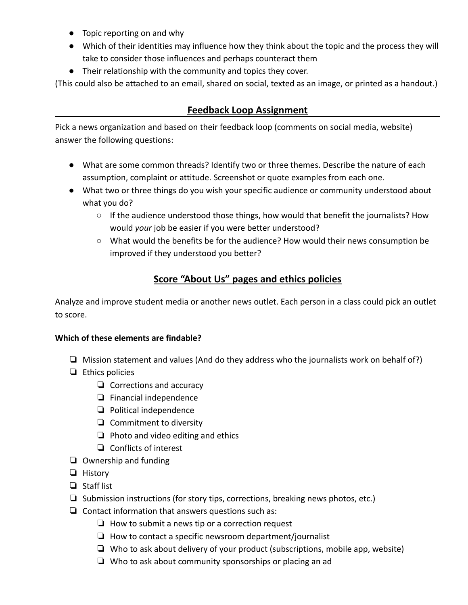- Topic reporting on and why
- Which of their identities may influence how they think about the topic and the process they will take to consider those influences and perhaps counteract them
- Their relationship with the community and topics they cover.

(This could also be attached to an email, shared on social, texted as an image, or printed as a handout.)

### **Feedback Loop Assignment**

Pick a news organization and based on their feedback loop (comments on social media, website) answer the following questions:

- What are some common threads? Identify two or three themes. Describe the nature of each assumption, complaint or attitude. Screenshot or quote examples from each one.
- What two or three things do you wish your specific audience or community understood about what you do?
	- $\circ$  If the audience understood those things, how would that benefit the journalists? How would *your* job be easier if you were better understood?
	- What would the benefits be for the audience? How would their news consumption be improved if they understood you better?

# **Score "About Us" pages and ethics policies**

Analyze and improve student media or another news outlet. Each person in a class could pick an outlet to score.

#### **Which of these elements are findable?**

- ❏ Mission statement and values (And do they address who the journalists work on behalf of?)
- ❏ Ethics policies
	- ❏ Corrections and accuracy
	- ❏ Financial independence
	- ❏ Political independence
	- ❏ Commitment to diversity
	- ❏ Photo and video editing and ethics
	- ❏ Conflicts of interest
- ❏ Ownership and funding
- ❏ History
- ❏ Staff list
- ❏ Submission instructions (for story tips, corrections, breaking news photos, etc.)
- ❏ Contact information that answers questions such as:
	- ❏ How to submit a news tip or a correction request
	- ❏ How to contact a specific newsroom department/journalist
	- ❏ Who to ask about delivery of your product (subscriptions, mobile app, website)
	- ❏ Who to ask about community sponsorships or placing an ad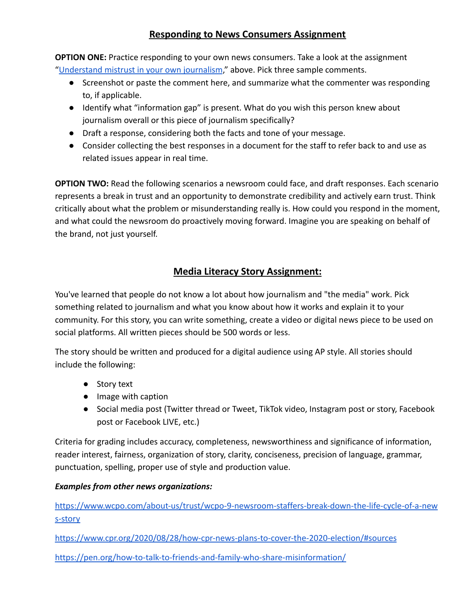## **Responding to News Consumers Assignment**

**OPTION ONE:** Practice responding to your own news consumers. Take a look at the assignment ["Understand mistrust in your own journalism](https://docs.google.com/document/d/1Np-eofJBdQWHBtgL6i69BZ37xQA3oPWdRlVrdwjEYAU/edit#heading=h.jh3zng3diw8e)," above. Pick three sample comments.

- Screenshot or paste the comment here, and summarize what the commenter was responding to, if applicable.
- Identify what "information gap" is present. What do you wish this person knew about journalism overall or this piece of journalism specifically?
- Draft a response, considering both the facts and tone of your message.
- Consider collecting the best responses in a document for the staff to refer back to and use as related issues appear in real time.

**OPTION TWO:** Read the following scenarios a newsroom could face, and draft responses. Each scenario represents a break in trust and an opportunity to demonstrate credibility and actively earn trust. Think critically about what the problem or misunderstanding really is. How could you respond in the moment, and what could the newsroom do proactively moving forward. Imagine you are speaking on behalf of the brand, not just yourself.

## **Media Literacy Story Assignment:**

You've learned that people do not know a lot about how journalism and "the media" work. Pick something related to journalism and what you know about how it works and explain it to your community. For this story, you can write something, create a video or digital news piece to be used on social platforms. All written pieces should be 500 words or less.

The story should be written and produced for a digital audience using AP style. All stories should include the following:

- Story text
- Image with caption
- Social media post (Twitter thread or Tweet, TikTok video, Instagram post or story, Facebook post or Facebook LIVE, etc.)

Criteria for grading includes accuracy, completeness, newsworthiness and significance of information, reader interest, fairness, organization of story, clarity, conciseness, precision of language, grammar, punctuation, spelling, proper use of style and production value.

#### *Examples from other news organizations:*

[https://www.wcpo.com/about-us/trust/wcpo-9-newsroom-staffers-break-down-the-life-cycle-of-a-new](https://www.wcpo.com/about-us/trust/wcpo-9-newsroom-staffers-break-down-the-life-cycle-of-a-news-story) [s-story](https://www.wcpo.com/about-us/trust/wcpo-9-newsroom-staffers-break-down-the-life-cycle-of-a-news-story)

<https://www.cpr.org/2020/08/28/how-cpr-news-plans-to-cover-the-2020-election/#sources>

<https://pen.org/how-to-talk-to-friends-and-family-who-share-misinformation/>